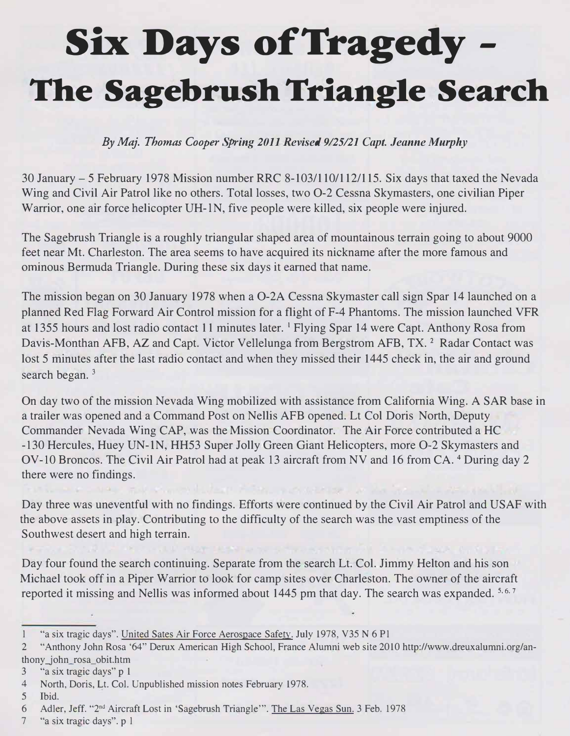## **Six Days ofTragedy - The Sagebrush Triangle Search**

*By Maj. Thomas Cooper Spring 2011 Revised 9/25/21 Capt. Jeanne Murphy*

30 January - 5 February 1978 Mission number RRC 8-103/110/112/115. Six days that taxed the Nevada Wing and Civil Air Patrol like no others. Total losses, two O-2 Cessna Skymasters, one civilian Piper Warrior, one air force helicopter UH-lN, five people were killed, six people were injured.

The Sagebrush Triangle is a roughly triangular shaped area of mountainous terrain going to about 9000 feet near Mt. Charleston. The area seems to have acquired its nickname after the more famous and ominous Bermuda Triangle. During these six days it earned that name.

The mission began on 30 January 1978 when a O-2A Cessna Skymaster call sign Spar 14 launched on a planned Red Flag Forward Air Control mission for a flight of F-4Phantoms. The mission launched VFR at 1355 hours and lost radio contact 11 minutes later. <sup>1</sup> Flying Spar 14 were Capt. Anthony Rosa from Davis-Monthan AFB, AZ and Capt. Victor Vellelunga from Bergstrom AFB, TX.<sup>2</sup> Radar Contact was lost 5 minutes after the last radio contact and when they missed their 1445 check in, the air and ground search began. **3** 

On day two of the mission Nevada Wing mobilized with assistance from California Wing. A SAR base in a trailer was opened and a Command Post on Nellis AFB opened. Lt Col Doris North, Deputy Commander Nevada Wing CAP, was the Mission Coordinator. The Air Force contributed a HC -130 Hercules, Huey UN-1N, HH 53 Super Jolly Green Giant Helicopters, more O-2 Skymasters and OV-10 Broncos. The Civil Air Patrol had at peak 13 aircraft from NV and 16 from CA. 4 During day 2 there were no findings.

Day three was uneventful with no findings. Efforts were continued by the Civil Air Patrol and USAF with the above assets in play. Contributing to the difficulty of the search was the vast emptiness of the Southwest desert and high terrain.

Day four found the search continuing. Separate from the search Lt. Col. Jimmy Helton and his son Michael took off in a Piper Warrior to look for camp sites over Charleston. The owner of the aircraft reported it missing and Nellis was informed about 1445 pm that day. The search was expanded. 5,6,7

7 "a six tragic days". p l

<sup>&</sup>quot;a six tragic days". United Sates Air Force Aerospace Safety. July 1978, V35 N 6 Pl

<sup>2 &</sup>quot;Anthony John Rosa '64" Derux American High School, France Alumni web site 2010 http://www.dreuxalurnni.org/anthony john\_rosa\_obit.htm

<sup>3 &</sup>quot;a six tragic days" p 1

<sup>4</sup> North, Doris, Lt. Col. Unpublished mission notes February 1978.

<sup>5</sup> Ibid.

<sup>6</sup> Adler, Jeff. "2nd Aircraft Lost in 'Sagebrush Triangle'". The Las Vegas Sun. 3 Feb. 1978